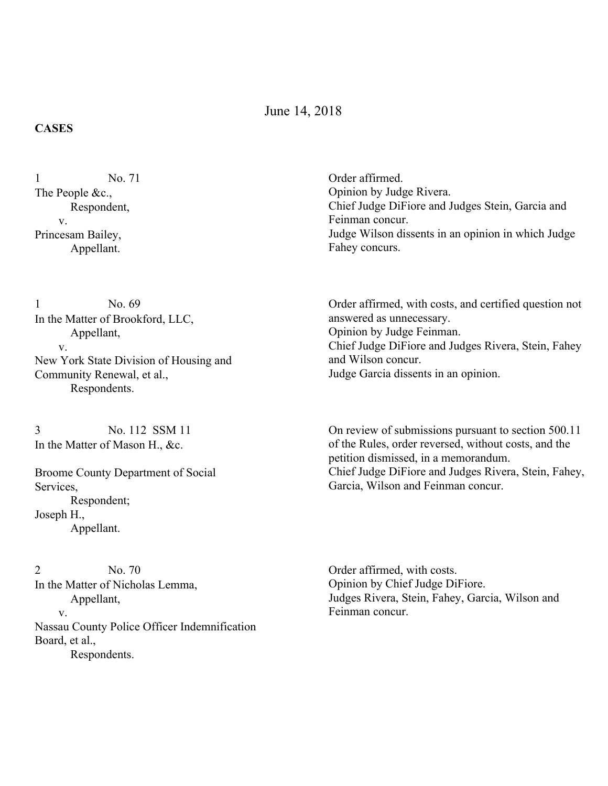June 14, 2018

## **CASES**

No. 71 The People &c., Respondent, v. Princesam Bailey, Appellant. 1

No. 69 In the Matter of Brookford, LLC, Appellant, v. New York State Division of Housing and Community Renewal, et al., Respondents. 1

No. 112 SSM 11 In the Matter of Mason H., &c. 3

Broome County Department of Social Services, Respondent; Joseph H., Appellant.

No. 70 In the Matter of Nicholas Lemma, Appellant, v. Nassau County Police Officer Indemnification Board, et al., Respondents. 2

Order affirmed. Opinion by Judge Rivera. Chief Judge DiFiore and Judges Stein, Garcia and Feinman concur. Judge Wilson dissents in an opinion in which Judge Fahey concurs.

Order affirmed, with costs, and certified question not answered as unnecessary. Opinion by Judge Feinman. Chief Judge DiFiore and Judges Rivera, Stein, Fahey and Wilson concur. Judge Garcia dissents in an opinion.

On review of submissions pursuant to section 500.11 of the Rules, order reversed, without costs, and the petition dismissed, in a memorandum. Chief Judge DiFiore and Judges Rivera, Stein, Fahey, Garcia, Wilson and Feinman concur.

Order affirmed, with costs. Opinion by Chief Judge DiFiore. Judges Rivera, Stein, Fahey, Garcia, Wilson and Feinman concur.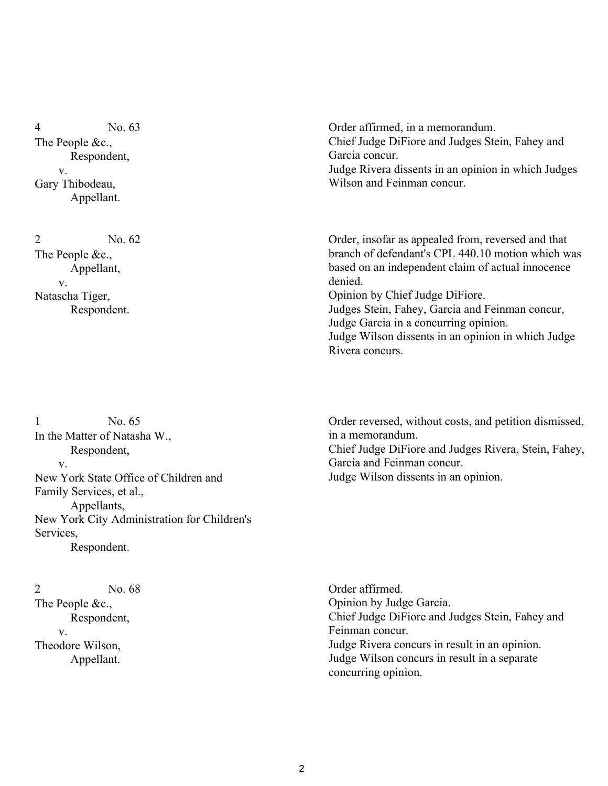No. 63 The People &c., Respondent, v. Gary Thibodeau, Appellant. 4

No. 62 The People &c., Appellant, v. Natascha Tiger, Respondent. 2

No. 65 In the Matter of Natasha W., Respondent, v. New York State Office of Children and Family Services, et al., Appellants, New York City Administration for Children's Services, Respondent. 1

No. 68 The People &c., Respondent, v. Theodore Wilson, Appellant. 2

Order affirmed, in a memorandum. Chief Judge DiFiore and Judges Stein, Fahey and Garcia concur. Judge Rivera dissents in an opinion in which Judges Wilson and Feinman concur.

Order, insofar as appealed from, reversed and that branch of defendant's CPL 440.10 motion which was based on an independent claim of actual innocence denied.

Opinion by Chief Judge DiFiore. Judges Stein, Fahey, Garcia and Feinman concur, Judge Garcia in a concurring opinion. Judge Wilson dissents in an opinion in which Judge Rivera concurs.

Order reversed, without costs, and petition dismissed, in a memorandum. Chief Judge DiFiore and Judges Rivera, Stein, Fahey, Garcia and Feinman concur. Judge Wilson dissents in an opinion.

Order affirmed. Opinion by Judge Garcia. Chief Judge DiFiore and Judges Stein, Fahey and Feinman concur. Judge Rivera concurs in result in an opinion. Judge Wilson concurs in result in a separate concurring opinion.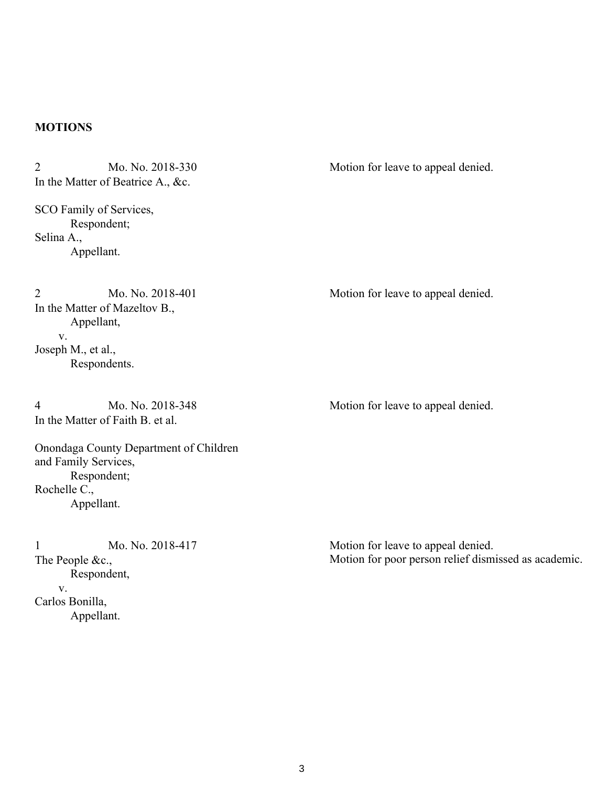## **MOTIONS**

| $\overline{2}$<br>Mo. No. 2018-330<br>In the Matter of Beatrice A., &c.                                                                                                  | Motion for leave to appeal denied.                                                         |
|--------------------------------------------------------------------------------------------------------------------------------------------------------------------------|--------------------------------------------------------------------------------------------|
| SCO Family of Services,<br>Respondent;<br>Selina A.,<br>Appellant.                                                                                                       |                                                                                            |
| Mo. No. 2018-401<br>$\overline{2}$<br>In the Matter of Mazeltov B.,<br>Appellant,<br>$V_{\rm r}$<br>Joseph M., et al.,<br>Respondents.                                   | Motion for leave to appeal denied.                                                         |
| Mo. No. 2018-348<br>4<br>In the Matter of Faith B. et al.<br>Onondaga County Department of Children<br>and Family Services,<br>Respondent;<br>Rochelle C.,<br>Appellant. | Motion for leave to appeal denied.                                                         |
| Mo. No. 2018-417<br>1<br>The People &c.,<br>Respondent,<br>V.<br>Carlos Bonilla,<br>Appellant.                                                                           | Motion for leave to appeal denied.<br>Motion for poor person relief dismissed as academic. |

3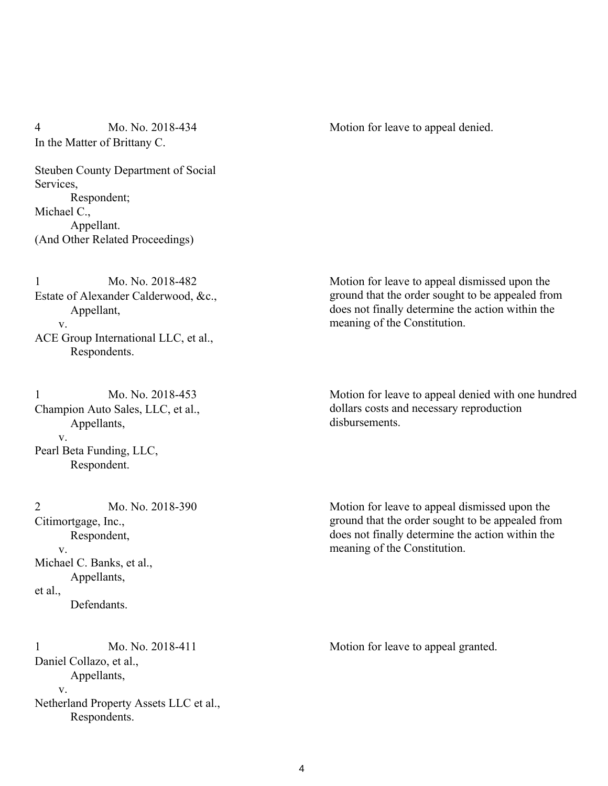## Mo. No. 2018-434 In the Matter of Brittany C. 4 Mo. No. 2018-434 Motion for leave to appeal denied.

Steuben County Department of Social Services, Respondent; Michael C., Appellant. (And Other Related Proceedings)

Mo. No. 2018-482 Estate of Alexander Calderwood, &c., Appellant, v. ACE Group International LLC, et al., Respondents. 1

Mo. No. 2018-453 Champion Auto Sales, LLC, et al., Appellants, v. Pearl Beta Funding, LLC, Respondent. 1

Mo. No. 2018-390 Citimortgage, Inc., Respondent, v. Michael C. Banks, et al., Appellants, et al., Defendants. 2

Mo. No. 2018-411 Daniel Collazo, et al., Appellants, v. Netherland Property Assets LLC et al., Respondents. 1 Mo. No. 2018-411 Motion for leave to appeal granted.

Motion for leave to appeal dismissed upon the ground that the order sought to be appealed from does not finally determine the action within the meaning of the Constitution.

Motion for leave to appeal denied with one hundred dollars costs and necessary reproduction disbursements.

Motion for leave to appeal dismissed upon the ground that the order sought to be appealed from does not finally determine the action within the meaning of the Constitution.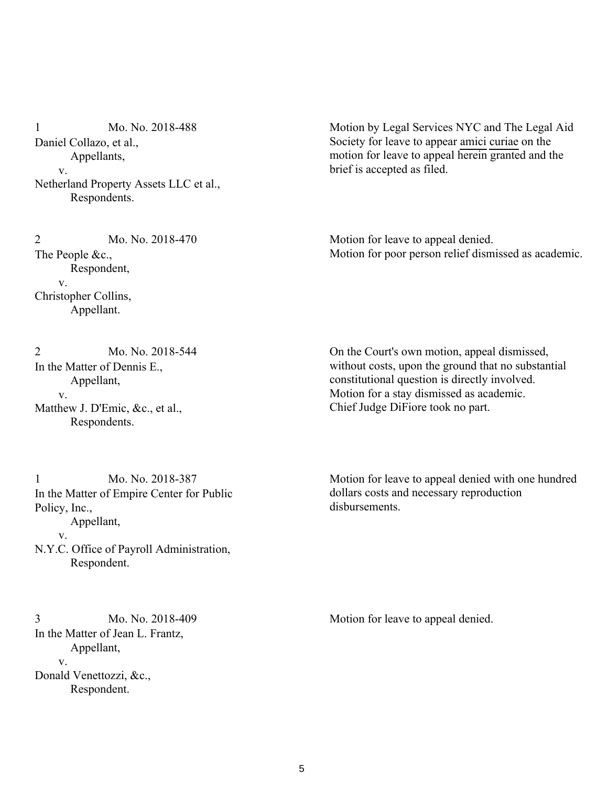Mo. No. 2018-488 Daniel Collazo, et al., Appellants, v. Netherland Property Assets LLC et al., Respondents. 1

Motion by Legal Services NYC and The Legal Aid Society for leave to appear amici curiae on the motion for leave to appeal herein granted and the brief is accepted as filed.

Mo. No. 2018-470 The People &c., Respondent, v. Christopher Collins, Appellant. 2

Motion for leave to appeal denied. Motion for poor person relief dismissed as academic.

Mo. No. 2018-544 In the Matter of Dennis E., Appellant, v. Matthew J. D'Emic, &c., et al., Respondents. 2

On the Court's own motion, appeal dismissed, without costs, upon the ground that no substantial constitutional question is directly involved. Motion for a stay dismissed as academic. Chief Judge DiFiore took no part.

Mo. No. 2018-387 In the Matter of Empire Center for Public Policy, Inc., Appellant, v. N.Y.C. Office of Payroll Administration, Respondent. 1

Mo. No. 2018-409 In the Matter of Jean L. Frantz, Appellant, v. Donald Venettozzi, &c., Respondent.

Motion for leave to appeal denied with one hundred dollars costs and necessary reproduction disbursements.

3 Mo. No. 2018-409 Motion for leave to appeal denied.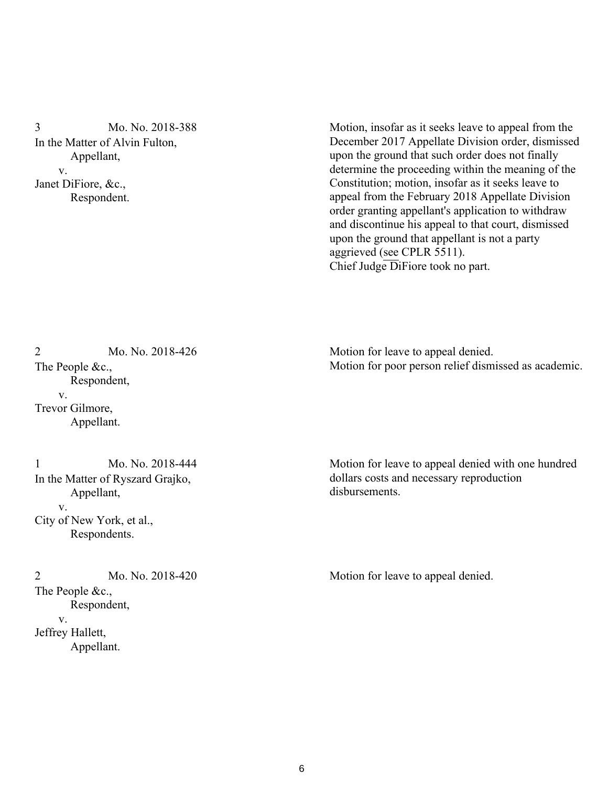Mo. No. 2018-388 In the Matter of Alvin Fulton, Appellant, v. Janet DiFiore, &c., Respondent. 3

Motion, insofar as it seeks leave to appeal from the December 2017 Appellate Division order, dismissed upon the ground that such order does not finally determine the proceeding within the meaning of the Constitution; motion, insofar as it seeks leave to appeal from the February 2018 Appellate Division order granting appellant's application to withdraw and discontinue his appeal to that court, dismissed upon the ground that appellant is not a party aggrieved (see CPLR 5511). Chief Judge  $\overline{D}$ iFiore took no part.

Mo. No. 2018-426 The People &c., Respondent, v. Trevor Gilmore, Appellant. 2

Mo. No. 2018-444 In the Matter of Ryszard Grajko, Appellant, v. City of New York, et al., Respondents. 1

Mo. No. 2018-420 The People &c., Respondent, v. Jeffrey Hallett, Appellant.

Motion for leave to appeal denied. Motion for poor person relief dismissed as academic.

Motion for leave to appeal denied with one hundred dollars costs and necessary reproduction disbursements.

2 Mo. No. 2018-420 Motion for leave to appeal denied.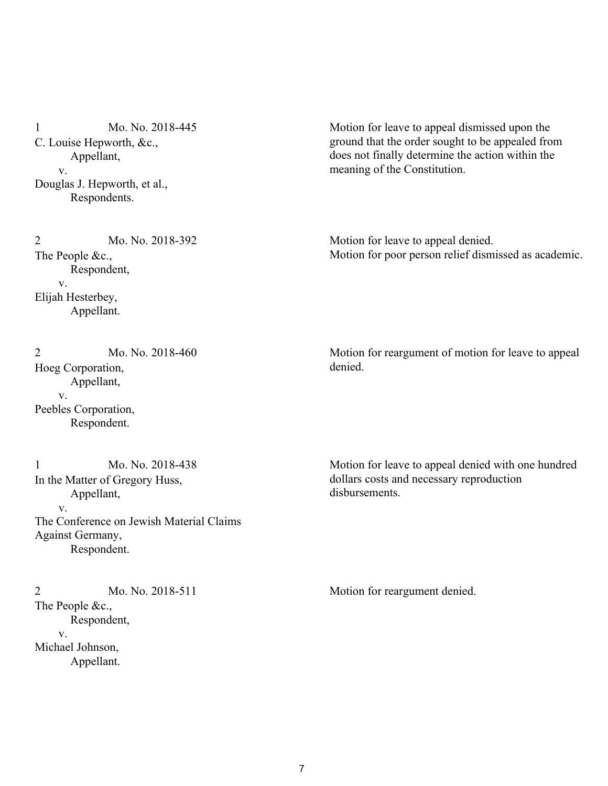Mo. No. 2018-445 C. Louise Hepworth, &c., Appellant, v. Douglas J. Hepworth, et al., Respondents. 1

Motion for leave to appeal dismissed upon the ground that the order sought to be appealed from does not finally determine the action within the meaning of the Constitution.

Mo. No. 2018-392 The People &c., Respondent, v. Elijah Hesterbey, Appellant. 2

Motion for leave to appeal denied. Motion for poor person relief dismissed as academic.

Mo. No. 2018-460 Hoeg Corporation, Appellant, v. Peebles Corporation, Respondent. 2

Mo. No. 2018-438 In the Matter of Gregory Huss, Appellant, v. The Conference on Jewish Material Claims Against Germany, Respondent. 1

Mo. No. 2018-511 The People &c., Respondent, v. Michael Johnson, Appellant. 2 Mo. No. 2018-511 Motion for reargument denied.

Motion for reargument of motion for leave to appeal denied.

Motion for leave to appeal denied with one hundred dollars costs and necessary reproduction disbursements.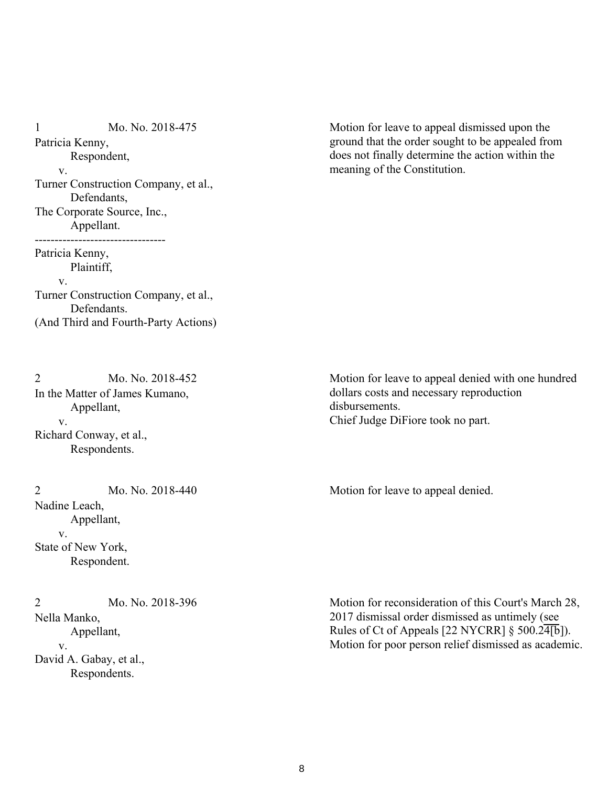Mo. No. 2018-475 Patricia Kenny, Respondent, v. Turner Construction Company, et al., Defendants, The Corporate Source, Inc., Appellant. --------------------------------- Patricia Kenny, Plaintiff, v. Turner Construction Company, et al., Defendants. (And Third and Fourth-Party Actions) 1

Motion for leave to appeal dismissed upon the ground that the order sought to be appealed from does not finally determine the action within the meaning of the Constitution.

Mo. No. 2018-452 In the Matter of James Kumano, Appellant, v. Richard Conway, et al., Respondents. 2

Mo. No. 2018-440 Nadine Leach, Appellant, v. State of New York, Respondent.

Mo. No. 2018-396 Nella Manko, Appellant, v. David A. Gabay, et al., Respondents. 2

Motion for leave to appeal denied with one hundred dollars costs and necessary reproduction disbursements. Chief Judge DiFiore took no part.

2 Mo. No. 2018-440 Motion for leave to appeal denied.

Motion for reconsideration of this Court's March 28, 2017 dismissal order dismissed as untimely (see Rules of Ct of Appeals [22 NYCRR]  $\S$  500.24[b]). Motion for poor person relief dismissed as academic.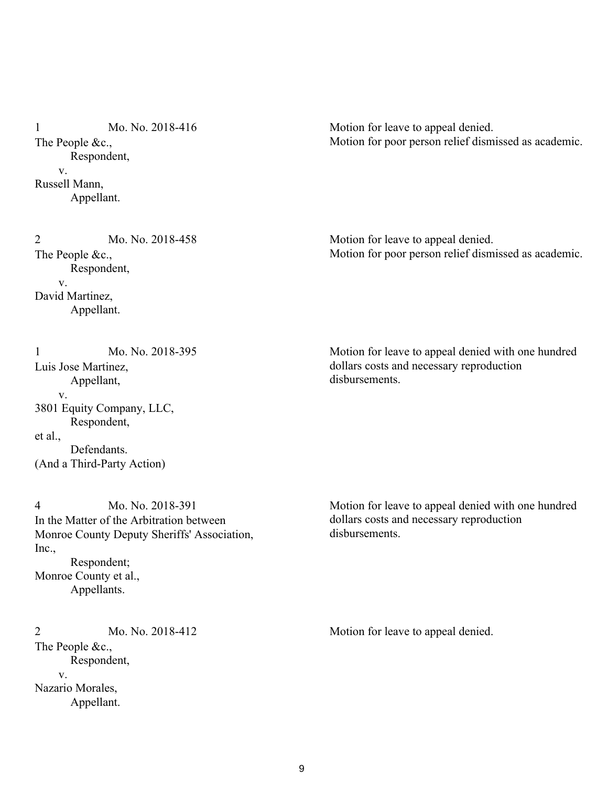Mo. No. 2018-416 The People &c., Respondent, v. Russell Mann, Appellant. 1

Motion for leave to appeal denied. Motion for poor person relief dismissed as academic.

Mo. No. 2018-458 Motion for leave to appeal denied. Motion for poor person relief dismissed as academic.

 Respondent, v. David Martinez, Appellant.

The People &c.,

2

Motion for leave to appeal denied with one hundred dollars costs and necessary reproduction disbursements.

Mo. No. 2018-395 Luis Jose Martinez, Appellant, v. 3801 Equity Company, LLC, Respondent, et al., Defendants. (And a Third-Party Action) 1

Mo. No. 2018-391 In the Matter of the Arbitration between Monroe County Deputy Sheriffs' Association, Inc., Respondent; Monroe County et al., Appellants. 4

Mo. No. 2018-412 The People &c., Respondent, v. Nazario Morales, Appellant. 2 Mo. No. 2018-412 Motion for leave to appeal denied.

Motion for leave to appeal denied with one hundred dollars costs and necessary reproduction disbursements.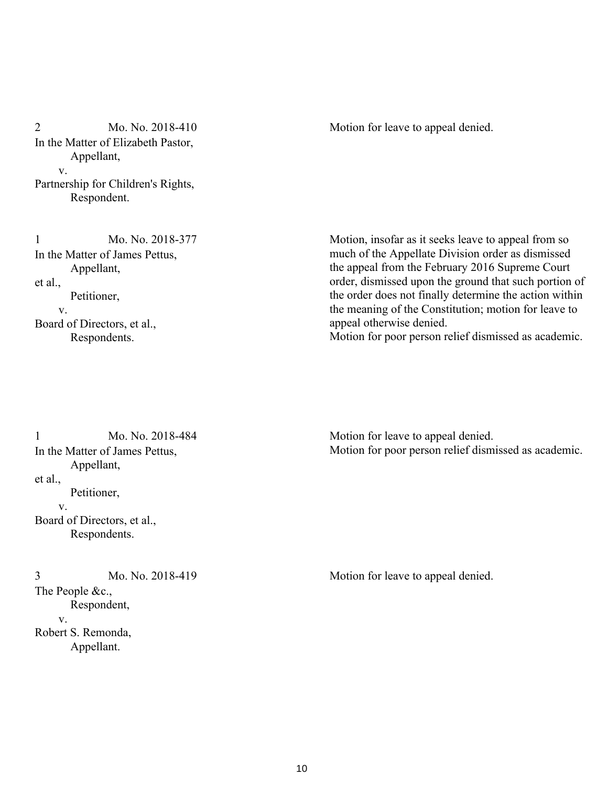Mo. No. 2018-410 In the Matter of Elizabeth Pastor, Appellant, v. Partnership for Children's Rights, Respondent. 2 Mo. No. 2018-410 Motion for leave to appeal denied.

Mo. No. 2018-377 In the Matter of James Pettus, Appellant, et al., Petitioner, v. Board of Directors, et al., Respondents. 1

Motion, insofar as it seeks leave to appeal from so much of the Appellate Division order as dismissed the appeal from the February 2016 Supreme Court order, dismissed upon the ground that such portion of the order does not finally determine the action within the meaning of the Constitution; motion for leave to appeal otherwise denied.

Motion for poor person relief dismissed as academic.

Mo. No. 2018-484 In the Matter of James Pettus, Appellant, et al., Petitioner, v. Board of Directors, et al., Respondents. 1

Mo. No. 2018-419 The People &c., Respondent, v. Robert S. Remonda, Appellant.

Motion for leave to appeal denied. Motion for poor person relief dismissed as academic.

3 Mo. No. 2018-419 Motion for leave to appeal denied.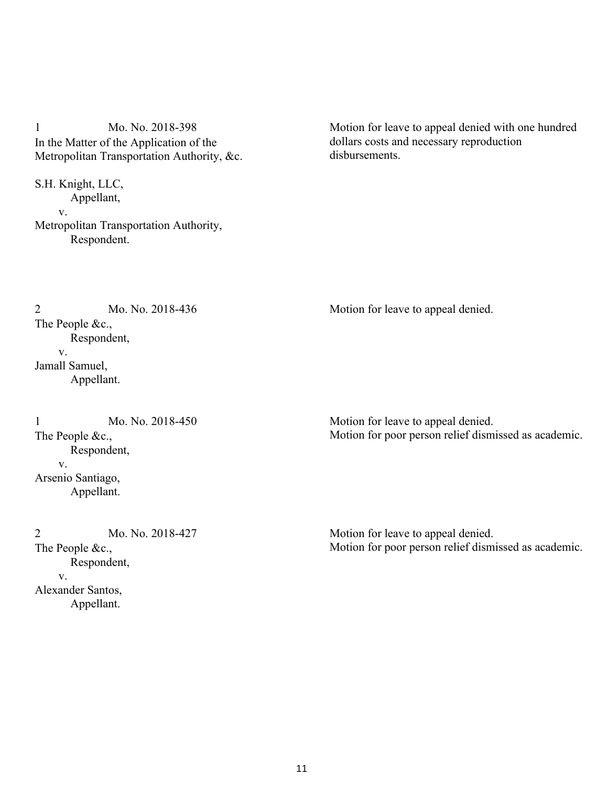Mo. No. 2018-398 In the Matter of the Application of the Metropolitan Transportation Authority, &c. 1

S.H. Knight, LLC, Appellant, v. Metropolitan Transportation Authority, Respondent.

Mo. No. 2018-436

Motion for leave to appeal denied with one hundred dollars costs and necessary reproduction disbursements.

2 Mo. No. 2018-436 Motion for leave to appeal denied.

Mo. No. 2018-450 The People &c., Respondent, v. Arsenio Santiago, Appellant. 1

The People &c.,

 v. Jamall Samuel,

Respondent,

Appellant.

Mo. No. 2018-427 The People &c., Respondent, v. Alexander Santos, Appellant. 2

Motion for leave to appeal denied. Motion for poor person relief dismissed as academic.

Motion for leave to appeal denied. Motion for poor person relief dismissed as academic.